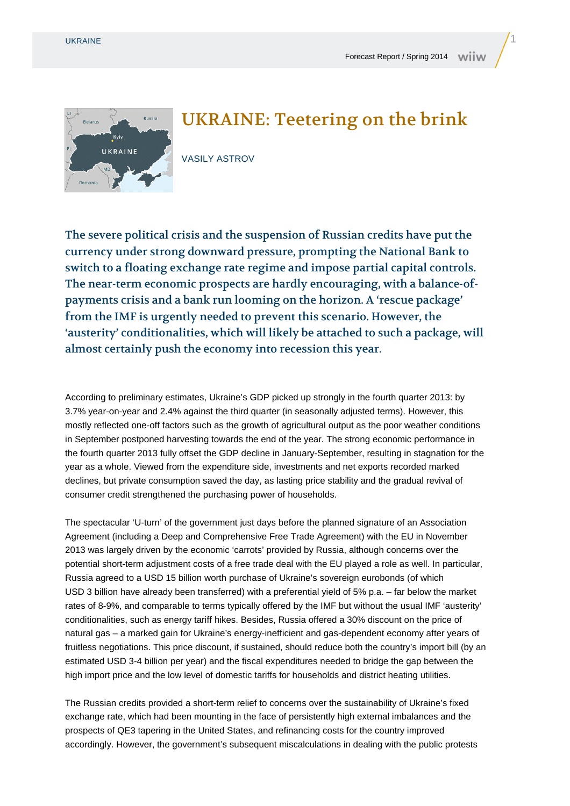

## UKRAINE: Teetering on the brink

VASILY ASTROV

The severe political crisis and the suspension of Russian credits have put the currency under strong downward pressure, prompting the National Bank to switch to a floating exchange rate regime and impose partial capital controls. The near-term economic prospects are hardly encouraging, with a balance-ofpayments crisis and a bank run looming on the horizon. A 'rescue package' from the IMF is urgently needed to prevent this scenario. However, the 'austerity' conditionalities, which will likely be attached to such a package, will almost certainly push the economy into recession this year.

According to preliminary estimates, Ukraine's GDP picked up strongly in the fourth quarter 2013: by 3.7% year-on-year and 2.4% against the third quarter (in seasonally adjusted terms). However, this mostly reflected one-off factors such as the growth of agricultural output as the poor weather conditions in September postponed harvesting towards the end of the year. The strong economic performance in the fourth quarter 2013 fully offset the GDP decline in January-September, resulting in stagnation for the year as a whole. Viewed from the expenditure side, investments and net exports recorded marked declines, but private consumption saved the day, as lasting price stability and the gradual revival of consumer credit strengthened the purchasing power of households.

The spectacular 'U-turn' of the government just days before the planned signature of an Association Agreement (including a Deep and Comprehensive Free Trade Agreement) with the EU in November 2013 was largely driven by the economic 'carrots' provided by Russia, although concerns over the potential short-term adjustment costs of a free trade deal with the EU played a role as well. In particular, Russia agreed to a USD 15 billion worth purchase of Ukraine's sovereign eurobonds (of which USD 3 billion have already been transferred) with a preferential yield of 5% p.a. – far below the market rates of 8-9%, and comparable to terms typically offered by the IMF but without the usual IMF 'austerity' conditionalities, such as energy tariff hikes. Besides, Russia offered a 30% discount on the price of natural gas – a marked gain for Ukraine's energy-inefficient and gas-dependent economy after years of fruitless negotiations. This price discount, if sustained, should reduce both the country's import bill (by an estimated USD 3-4 billion per year) and the fiscal expenditures needed to bridge the gap between the high import price and the low level of domestic tariffs for households and district heating utilities.

The Russian credits provided a short-term relief to concerns over the sustainability of Ukraine's fixed exchange rate, which had been mounting in the face of persistently high external imbalances and the prospects of QE3 tapering in the United States, and refinancing costs for the country improved accordingly. However, the government's subsequent miscalculations in dealing with the public protests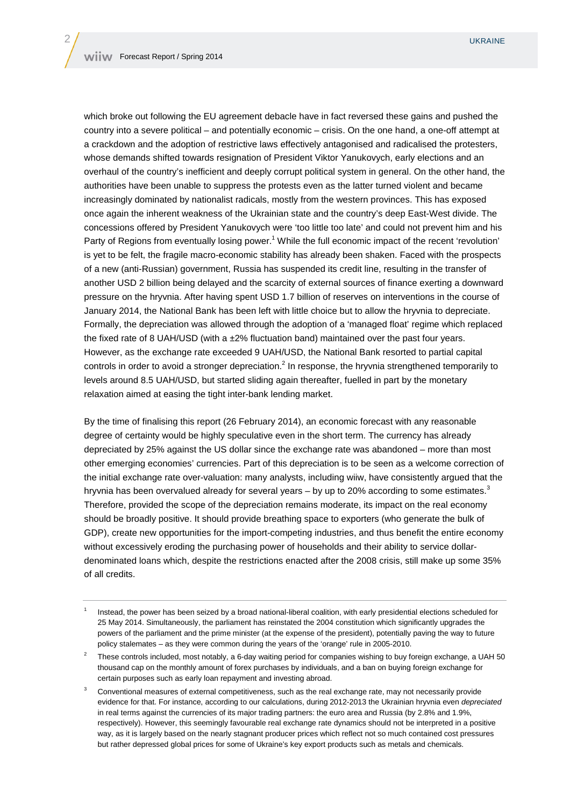which broke out following the EU agreement debacle have in fact reversed these gains and pushed the country into a severe political – and potentially economic – crisis. On the one hand, a one-off attempt at a crackdown and the adoption of restrictive laws effectively antagonised and radicalised the protesters, whose demands shifted towards resignation of President Viktor Yanukovych, early elections and an overhaul of the country's inefficient and deeply corrupt political system in general. On the other hand, the authorities have been unable to suppress the protests even as the latter turned violent and became increasingly dominated by nationalist radicals, mostly from the western provinces. This has exposed once again the inherent weakness of the Ukrainian state and the country's deep East-West divide. The concessions offered by President Yanukovych were 'too little too late' and could not prevent him and his Party of Regions from eventually losing power.<sup>1</sup> While the full economic impact of the recent 'revolution' is yet to be felt, the fragile macro-economic stability has already been shaken. Faced with the prospects of a new (anti-Russian) government, Russia has suspended its credit line, resulting in the transfer of another USD 2 billion being delayed and the scarcity of external sources of finance exerting a downward pressure on the hryvnia. After having spent USD 1.7 billion of reserves on interventions in the course of January 2014, the National Bank has been left with little choice but to allow the hryvnia to depreciate. Formally, the depreciation was allowed through the adoption of a 'managed float' regime which replaced the fixed rate of 8 UAH/USD (with a ±2% fluctuation band) maintained over the past four years. However, as the exchange rate exceeded 9 UAH/USD, the National Bank resorted to partial capital controls in order to avoid a stronger depreciation.<sup>2</sup> In response, the hryvnia strengthened temporarily to levels around 8.5 UAH/USD, but started sliding again thereafter, fuelled in part by the monetary relaxation aimed at easing the tight inter-bank lending market.

By the time of finalising this report (26 February 2014), an economic forecast with any reasonable degree of certainty would be highly speculative even in the short term. The currency has already depreciated by 25% against the US dollar since the exchange rate was abandoned – more than most other emerging economies' currencies. Part of this depreciation is to be seen as a welcome correction of the initial exchange rate over-valuation: many analysts, including wiiw, have consistently argued that the hryvnia has been overvalued already for several years – by up to 20% according to some estimates.<sup>3</sup> Therefore, provided the scope of the depreciation remains moderate, its impact on the real economy should be broadly positive. It should provide breathing space to exporters (who generate the bulk of GDP), create new opportunities for the import-competing industries, and thus benefit the entire economy without excessively eroding the purchasing power of households and their ability to service dollardenominated loans which, despite the restrictions enacted after the 2008 crisis, still make up some 35% of all credits.

<sup>1</sup> Instead, the power has been seized by a broad national-liberal coalition, with early presidential elections scheduled for 25 May 2014. Simultaneously, the parliament has reinstated the 2004 constitution which significantly upgrades the powers of the parliament and the prime minister (at the expense of the president), potentially paving the way to future policy stalemates – as they were common during the years of the 'orange' rule in 2005-2010.

<sup>2</sup> These controls included, most notably, a 6-day waiting period for companies wishing to buy foreign exchange, a UAH 50 thousand cap on the monthly amount of forex purchases by individuals, and a ban on buying foreign exchange for certain purposes such as early loan repayment and investing abroad.

<sup>3</sup> Conventional measures of external competitiveness, such as the real exchange rate, may not necessarily provide evidence for that. For instance, according to our calculations, during 2012-2013 the Ukrainian hryvnia even depreciated in real terms against the currencies of its major trading partners: the euro area and Russia (by 2.8% and 1.9%, respectively). However, this seemingly favourable real exchange rate dynamics should not be interpreted in a positive way, as it is largely based on the nearly stagnant producer prices which reflect not so much contained cost pressures but rather depressed global prices for some of Ukraine's key export products such as metals and chemicals.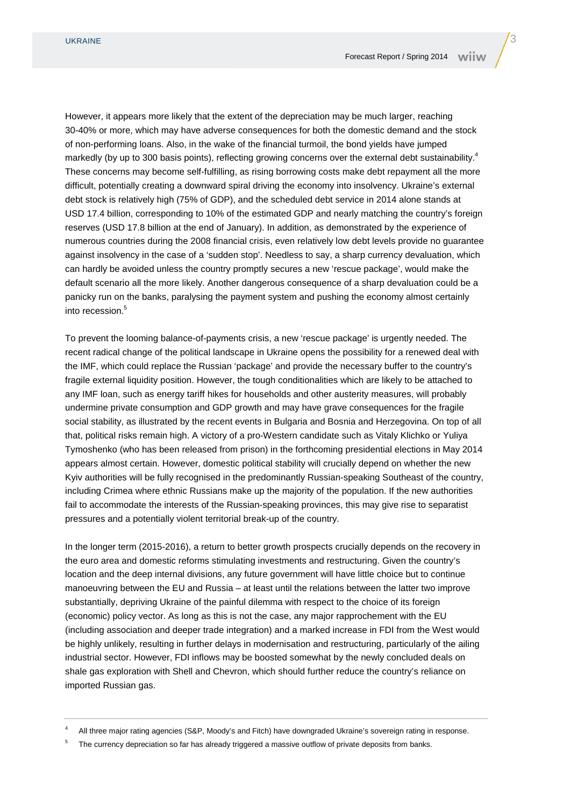However, it appears more likely that the extent of the depreciation may be much larger, reaching 30-40% or more, which may have adverse consequences for both the domestic demand and the stock of non-performing loans. Also, in the wake of the financial turmoil, the bond yields have jumped markedly (by up to 300 basis points), reflecting growing concerns over the external debt sustainability.<sup>4</sup> These concerns may become self-fulfilling, as rising borrowing costs make debt repayment all the more difficult, potentially creating a downward spiral driving the economy into insolvency. Ukraine's external debt stock is relatively high (75% of GDP), and the scheduled debt service in 2014 alone stands at USD 17.4 billion, corresponding to 10% of the estimated GDP and nearly matching the country's foreign reserves (USD 17.8 billion at the end of January). In addition, as demonstrated by the experience of numerous countries during the 2008 financial crisis, even relatively low debt levels provide no guarantee against insolvency in the case of a 'sudden stop'. Needless to say, a sharp currency devaluation, which can hardly be avoided unless the country promptly secures a new 'rescue package', would make the default scenario all the more likely. Another dangerous consequence of a sharp devaluation could be a panicky run on the banks, paralysing the payment system and pushing the economy almost certainly into recession.<sup>5</sup>

To prevent the looming balance-of-payments crisis, a new 'rescue package' is urgently needed. The recent radical change of the political landscape in Ukraine opens the possibility for a renewed deal with the IMF, which could replace the Russian 'package' and provide the necessary buffer to the country's fragile external liquidity position. However, the tough conditionalities which are likely to be attached to any IMF loan, such as energy tariff hikes for households and other austerity measures, will probably undermine private consumption and GDP growth and may have grave consequences for the fragile social stability, as illustrated by the recent events in Bulgaria and Bosnia and Herzegovina. On top of all that, political risks remain high. A victory of a pro-Western candidate such as Vitaly Klichko or Yuliya Tymoshenko (who has been released from prison) in the forthcoming presidential elections in May 2014 appears almost certain. However, domestic political stability will crucially depend on whether the new Kyiv authorities will be fully recognised in the predominantly Russian-speaking Southeast of the country, including Crimea where ethnic Russians make up the majority of the population. If the new authorities fail to accommodate the interests of the Russian-speaking provinces, this may give rise to separatist pressures and a potentially violent territorial break-up of the country.

In the longer term (2015-2016), a return to better growth prospects crucially depends on the recovery in the euro area and domestic reforms stimulating investments and restructuring. Given the country's location and the deep internal divisions, any future government will have little choice but to continue manoeuvring between the EU and Russia – at least until the relations between the latter two improve substantially, depriving Ukraine of the painful dilemma with respect to the choice of its foreign (economic) policy vector. As long as this is not the case, any major rapprochement with the EU (including association and deeper trade integration) and a marked increase in FDI from the West would be highly unlikely, resulting in further delays in modernisation and restructuring, particularly of the ailing industrial sector. However, FDI inflows may be boosted somewhat by the newly concluded deals on shale gas exploration with Shell and Chevron, which should further reduce the country's reliance on imported Russian gas.

<sup>4</sup> All three major rating agencies (S&P, Moody's and Fitch) have downgraded Ukraine's sovereign rating in response.

<sup>5</sup> The currency depreciation so far has already triggered a massive outflow of private deposits from banks.